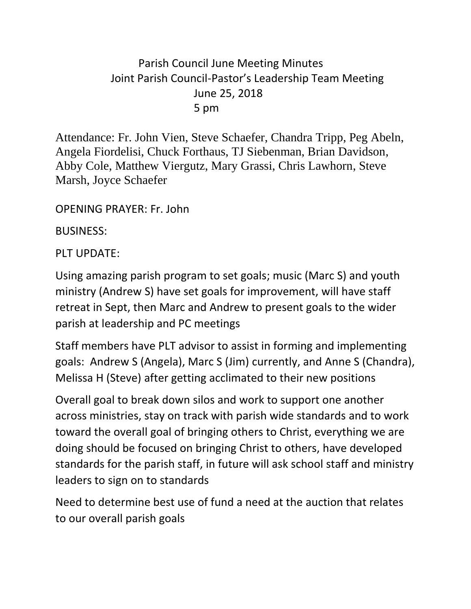## Parish Council June Meeting Minutes Joint Parish Council-Pastor's Leadership Team Meeting June 25, 2018 5 pm

Attendance: Fr. John Vien, Steve Schaefer, Chandra Tripp, Peg Abeln, Angela Fiordelisi, Chuck Forthaus, TJ Siebenman, Brian Davidson, Abby Cole, Matthew Viergutz, Mary Grassi, Chris Lawhorn, Steve Marsh, Joyce Schaefer

OPENING PRAYER: Fr. John

BUSINESS:

PLT UPDATE:

Using amazing parish program to set goals; music (Marc S) and youth ministry (Andrew S) have set goals for improvement, will have staff retreat in Sept, then Marc and Andrew to present goals to the wider parish at leadership and PC meetings

Staff members have PLT advisor to assist in forming and implementing goals: Andrew S (Angela), Marc S (Jim) currently, and Anne S (Chandra), Melissa H (Steve) after getting acclimated to their new positions

Overall goal to break down silos and work to support one another across ministries, stay on track with parish wide standards and to work toward the overall goal of bringing others to Christ, everything we are doing should be focused on bringing Christ to others, have developed standards for the parish staff, in future will ask school staff and ministry leaders to sign on to standards

Need to determine best use of fund a need at the auction that relates to our overall parish goals